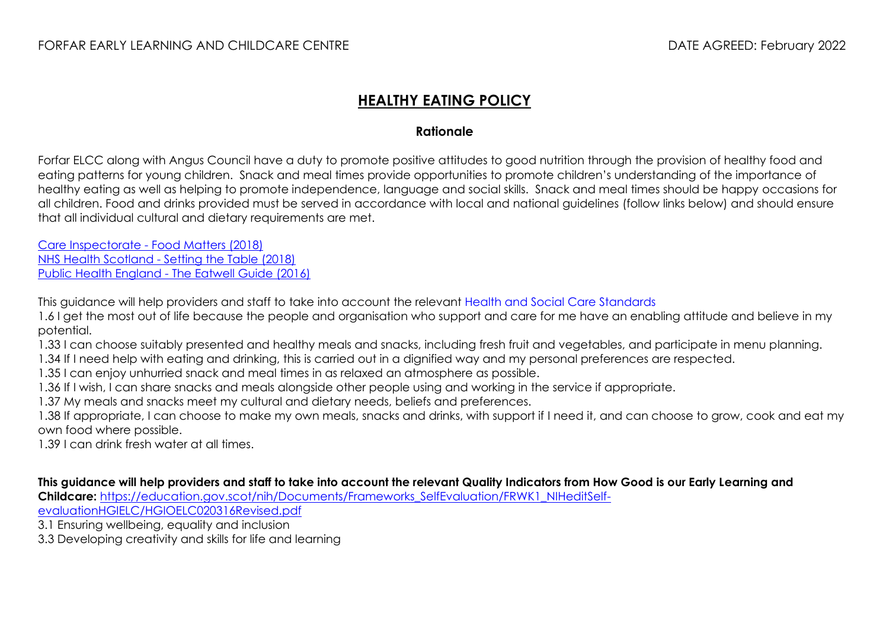## **HEALTHY EATING POLICY**

## **Rationale**

Forfar ELCC along with Angus Council have a duty to promote positive attitudes to good nutrition through the provision of healthy food and eating patterns for young children. Snack and meal times provide opportunities to promote children's understanding of the importance of healthy eating as well as helping to promote independence, language and social skills. Snack and meal times should be happy occasions for all children. Food and drinks provided must be served in accordance with local and national guidelines (follow links below) and should ensure that all individual cultural and dietary requirements are met.

Care Inspectorate - [Food Matters \(2018\)](file:///C:/Users/turriffl/AppData/Local/Microsoft/Windows/INetCache/IE/UY3L45YO/food-matters-nurturing-happy-healthy-children.pdf) NHS Health Scotland - [Setting the Table \(2018\)](http://www.healthscotland.com/uploads/documents/30341-Setting%20the%20Table.pdf) Public Health England - [The Eatwell Guide \(2016\)](https://assets.publishing.service.gov.uk/government/uploads/system/uploads/attachment_data/file/528193/Eatwell_guide_colour.pdf)

This guidance will help providers and staff to take into account the relevant [Health and Social Care Standards](https://www.gov.scot/publications/health-social-care-standards-support-life/) 

1.6 I get the most out of life because the people and organisation who support and care for me have an enabling attitude and believe in my potential.

1.33 I can choose suitably presented and healthy meals and snacks, including fresh fruit and vegetables, and participate in menu planning.

1.34 If I need help with eating and drinking, this is carried out in a dignified way and my personal preferences are respected.

1.35 I can enjoy unhurried snack and meal times in as relaxed an atmosphere as possible.

1.36 If I wish, I can share snacks and meals alongside other people using and working in the service if appropriate.

1.37 My meals and snacks meet my cultural and dietary needs, beliefs and preferences.

1.38 If appropriate, I can choose to make my own meals, snacks and drinks, with support if I need it, and can choose to grow, cook and eat my own food where possible.

1.39 I can drink fresh water at all times.

**This guidance will help providers and staff to take into account the relevant Quality Indicators from How Good is our Early Learning and** 

**Childcare:** [https://education.gov.scot/nih/Documents/Frameworks\\_SelfEvaluation/FRWK1\\_NIHeditSelf-](https://education.gov.scot/nih/Documents/Frameworks_SelfEvaluation/FRWK1_NIHeditSelf-evaluationHGIELC/HGIOELC020316Revised.pdf)

[evaluationHGIELC/HGIOELC020316Revised.pdf](https://education.gov.scot/nih/Documents/Frameworks_SelfEvaluation/FRWK1_NIHeditSelf-evaluationHGIELC/HGIOELC020316Revised.pdf)

3.1 Ensuring wellbeing, equality and inclusion

3.3 Developing creativity and skills for life and learning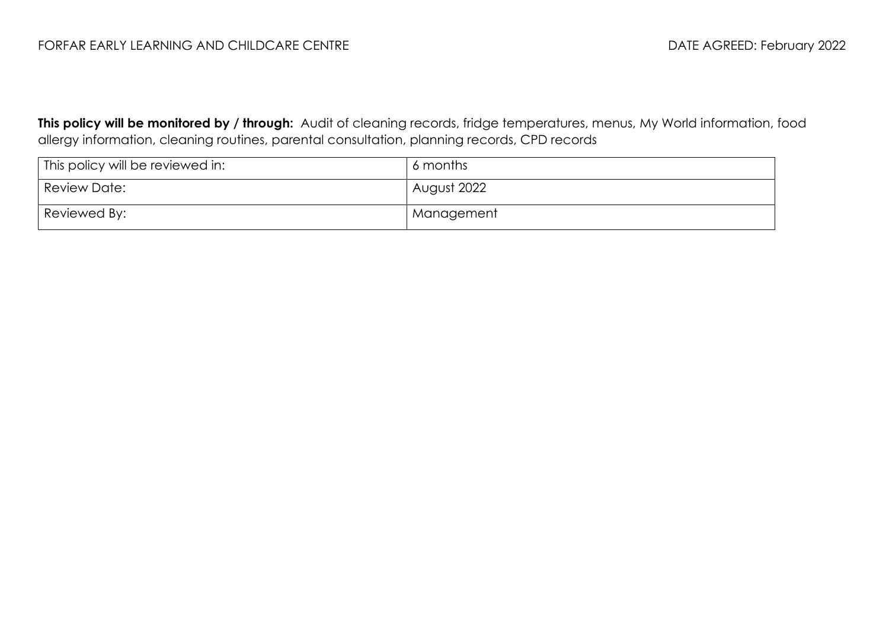**This policy will be monitored by / through:** Audit of cleaning records, fridge temperatures, menus, My World information, food allergy information, cleaning routines, parental consultation, planning records, CPD records

| This policy will be reviewed in: | 6 months    |
|----------------------------------|-------------|
| <b>Review Date:</b>              | August 2022 |
| Reviewed By:                     | Management  |